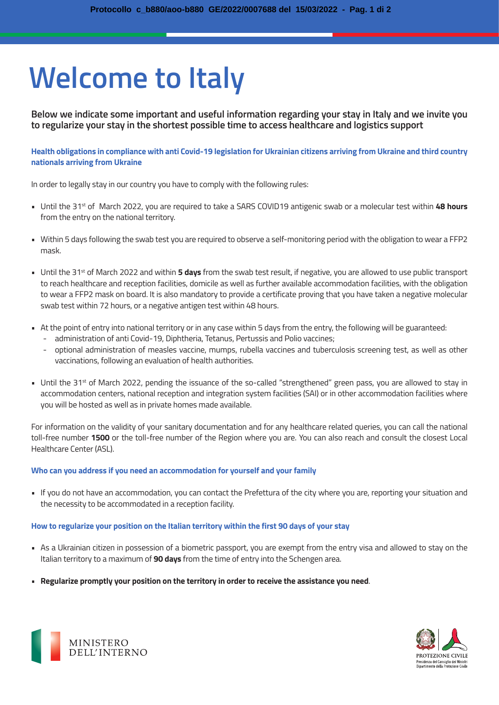# **Welcome to Italy**

**Below we indicate some important and useful information regarding your stay in Italy and we invite you to regularize your stay in the shortest possible time to access healthcare and logistics support**

**Health obligations in compliance with anti Covid-19 legislation for Ukrainian citizens arriving from Ukraine and third country nationals arriving from Ukraine**

In order to legally stay in our country you have to comply with the following rules:

- Until the 31st of March 2022, you are required to take a SARS COVID19 antigenic swab or a molecular test within **48 hours**  from the entry on the national territory.
- Within 5 days following the swab test you are required to observe a self-monitoring period with the obligation to wear a FFP2 mask.
- Until the 31<sup>st</sup> of March 2022 and within **5 days** from the swab test result, if negative, you are allowed to use public transport to reach healthcare and reception facilities, domicile as well as further available accommodation facilities, with the obligation to wear a FFP2 mask on board. It is also mandatory to provide a certificate proving that you have taken a negative molecular swab test within 72 hours, or a negative antigen test within 48 hours.
- At the point of entry into national territory or in any case within 5 days from the entry, the following will be guaranteed:
	- administration of anti Covid-19, Diphtheria, Tetanus, Pertussis and Polio vaccines;
	- optional administration of measles vaccine, mumps, rubella vaccines and tuberculosis screening test, as well as other vaccinations, following an evaluation of health authorities.
- Until the 31<sup>st</sup> of March 2022, pending the issuance of the so-called "strengthened" green pass, you are allowed to stay in accommodation centers, national reception and integration system facilities (SAI) or in other accommodation facilities where you will be hosted as well as in private homes made available.

For information on the validity of your sanitary documentation and for any healthcare related queries, you can call the national toll-free number **1500** or the toll-free number of the Region where you are. You can also reach and consult the closest Local Healthcare Center (ASL).

#### **Who can you address if you need an accommodation for yourself and your family**

• If you do not have an accommodation, you can contact the Prefettura of the city where you are, reporting your situation and the necessity to be accommodated in a reception facility.

#### **How to regularize your position on the Italian territory within the first 90 days of your stay**

- As a Ukrainian citizen in possession of a biometric passport, you are exempt from the entry visa and allowed to stay on the Italian territory to a maximum of **90 days** from the time of entry into the Schengen area.
- **Regularize promptly your position on the territory in order to receive the assistance you need**.